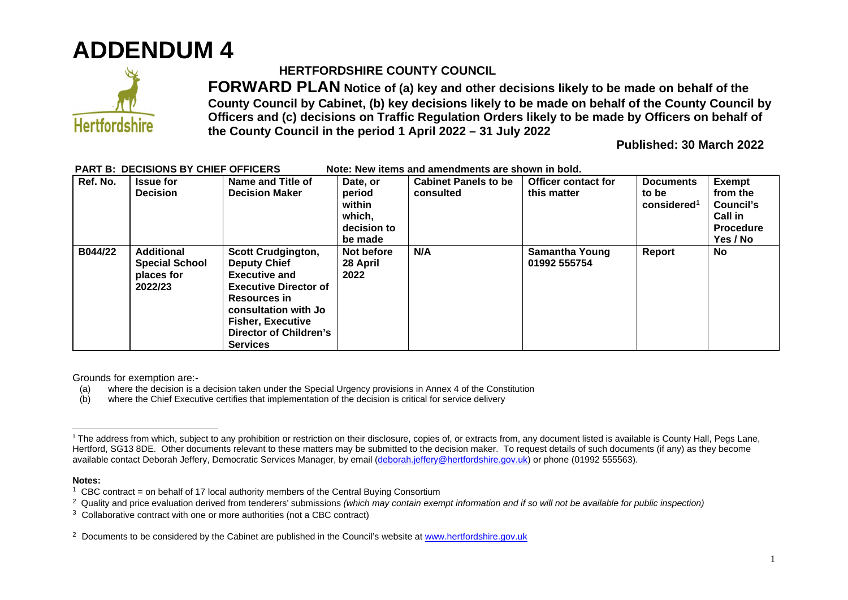



## **HERTFORDSHIRE COUNTY COUNCIL**

**FORWARD PLAN Notice of (a) key and other decisions likely to be made on behalf of the County Council by Cabinet, (b) key decisions likely to be made on behalf of the County Council by Officers and (c) decisions on Traffic Regulation Orders likely to be made by Officers on behalf of the County Council in the period 1 April 2022 – 31 July 2022** 

**Published: 30 March 2022** 

| Ref. No. | <b>Issue for</b><br><b>Decision</b>                                 | Name and Title of<br><b>Decision Maker</b>                                                                                                                                                                                       | Date, or<br>period<br>within<br>which,<br>decision to<br>be made | <b>Cabinet Panels to be</b><br>consulted | <b>Officer contact for</b><br>this matter | <b>Documents</b><br>to be<br>considered <sup>1</sup> | <b>Exempt</b><br>from the<br>Council's<br><b>Call in</b><br><b>Procedure</b><br>Yes / No |
|----------|---------------------------------------------------------------------|----------------------------------------------------------------------------------------------------------------------------------------------------------------------------------------------------------------------------------|------------------------------------------------------------------|------------------------------------------|-------------------------------------------|------------------------------------------------------|------------------------------------------------------------------------------------------|
| B044/22  | <b>Additional</b><br><b>Special School</b><br>places for<br>2022/23 | <b>Scott Crudgington,</b><br><b>Deputy Chief</b><br><b>Executive and</b><br><b>Executive Director of</b><br><b>Resources</b> in<br>consultation with Jo<br><b>Fisher, Executive</b><br>Director of Children's<br><b>Services</b> | Not before<br>28 April<br>2022                                   | N/A                                      | <b>Samantha Young</b><br>01992 555754     | Report                                               | No.                                                                                      |

## PART B: DECISIONS BY CHIEF OFFICERS Note: New items and amendments are shown in bold.

Grounds for exemption are:-

- (a) where the decision is a decision taken under the Special Urgency provisions in Annex 4 of the Constitution
- (b) where the Chief Executive certifies that implementation of the decision is critical for service delivery

## **Notes:**

<sup>&</sup>lt;sup>1</sup> The address from which, subject to any prohibition or restriction on their disclosure, copies of, or extracts from, any document listed is available is County Hall, Pegs Lane, Hertford, SG13 8DE. Other documents relevant to these matters may be submitted to the decision maker. To request details of such documents (if any) as they become available contact Deborah Jeffery, Democratic Services Manager, by email [\(deborah.jeffery@hertfordshire.gov.uk\)](mailto:deborah.jeffery@hertfordshire.gov.uk) or phone (01992 555563).

<sup>&</sup>lt;sup>1</sup> CBC contract = on behalf of 17 local authority members of the Central Buying Consortium

<sup>2</sup> Quality and price evaluation derived from tenderers' submissions *(which may contain exempt information and if so will not be available for public inspection)*

 $3$  Collaborative contract with one or more authorities (not a CBC contract)

<sup>&</sup>lt;sup>2</sup> Documents to be considered by the Cabinet are published in the Council's website at [www.hertfordshire.gov.uk](http://www.hertfordshire.gov.uk/)